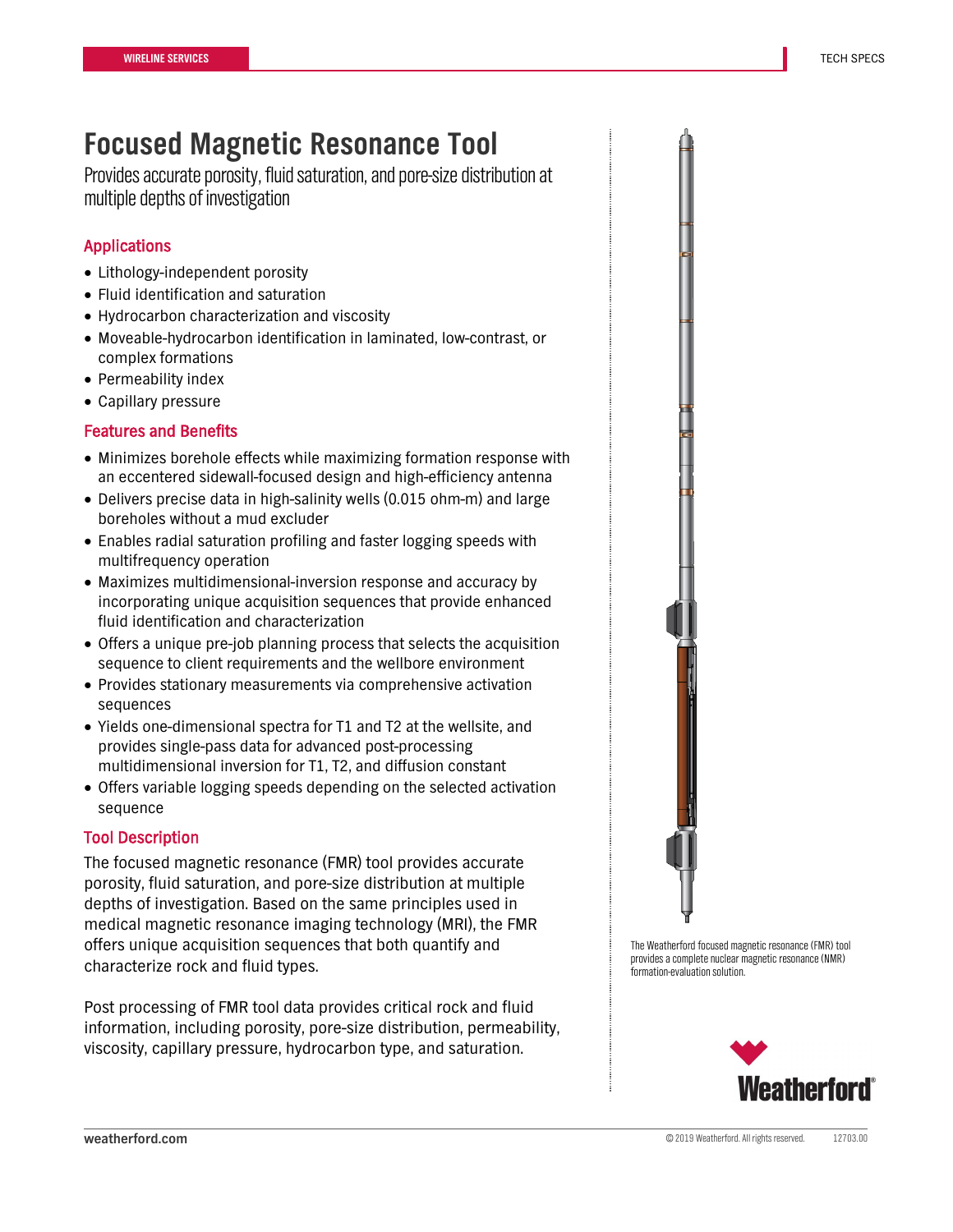# **Focused Magnetic Resonance Tool**

Provides accurate porosity, fluid saturation, and pore-size distribution at multiple depths of investigation

# Applications

- Lithology-independent porosity
- Fluid identification and saturation
- Hydrocarbon characterization and viscosity
- Moveable-hydrocarbon identification in laminated, low-contrast, or complex formations
- Permeability index
- Capillary pressure

## Features and Benefits

- Minimizes borehole effects while maximizing formation response with an eccentered sidewall-focused design and high-efficiency antenna
- Delivers precise data in high-salinity wells (0.015 ohm-m) and large boreholes without a mud excluder
- Enables radial saturation profiling and faster logging speeds with multifrequency operation
- Maximizes multidimensional-inversion response and accuracy by incorporating unique acquisition sequences that provide enhanced fluid identification and characterization
- Offers a unique pre-job planning process that selects the acquisition sequence to client requirements and the wellbore environment
- Provides stationary measurements via comprehensive activation sequences
- Yields one-dimensional spectra for T1 and T2 at the wellsite, and provides single-pass data for advanced post-processing multidimensional inversion for T1, T2, and diffusion constant
- Offers variable logging speeds depending on the selected activation sequence

# Tool Description

The focused magnetic resonance (FMR) tool provides accurate porosity, fluid saturation, and pore-size distribution at multiple depths of investigation. Based on the same principles used in medical magnetic resonance imaging technology (MRI), the FMR offers unique acquisition sequences that both quantify and characterize rock and fluid types.

Post processing of FMR tool data provides critical rock and fluid information, including porosity, pore-size distribution, permeability, viscosity, capillary pressure, hydrocarbon type, and saturation.



The Weatherford focused magnetic resonance (FMR) tool provides a complete nuclear magnetic resonance (NMR) formation-evaluation solution.